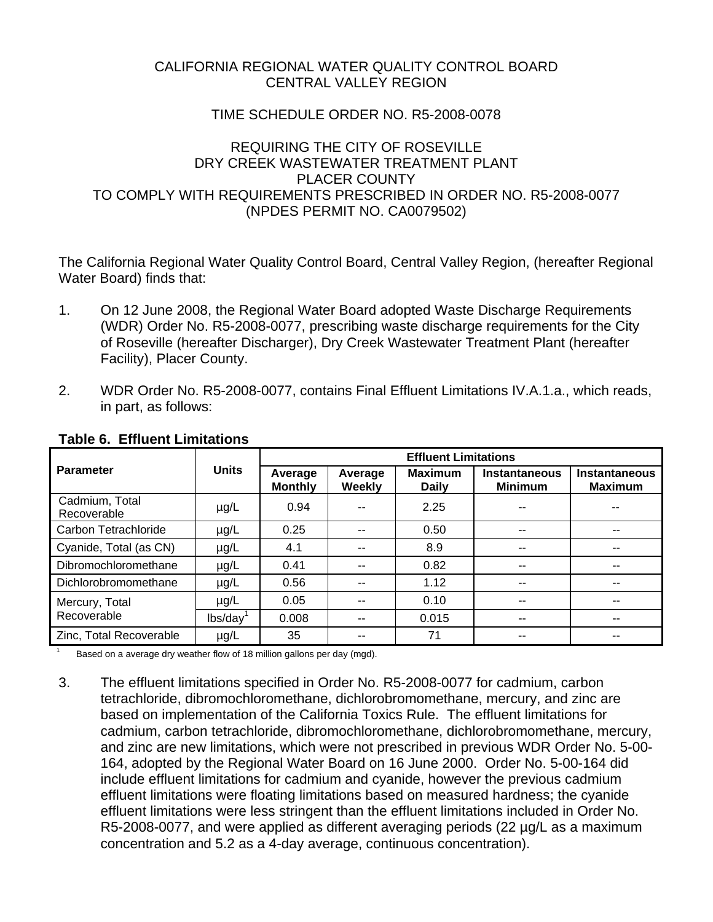## CALIFORNIA REGIONAL WATER QUALITY CONTROL BOARD CENTRAL VALLEY REGION

## TIME SCHEDULE ORDER NO. R5-2008-0078

## REQUIRING THE CITY OF ROSEVILLE DRY CREEK WASTEWATER TREATMENT PLANT PLACER COUNTY TO COMPLY WITH REQUIREMENTS PRESCRIBED IN ORDER NO. R5-2008-0077 (NPDES PERMIT NO. CA0079502)

The California Regional Water Quality Control Board, Central Valley Region, (hereafter Regional Water Board) finds that:

- 1. On 12 June 2008, the Regional Water Board adopted Waste Discharge Requirements (WDR) Order No. R5-2008-0077, prescribing waste discharge requirements for the City of Roseville (hereafter Discharger), Dry Creek Wastewater Treatment Plant (hereafter Facility), Placer County.
- 2. WDR Order No. R5-2008-0077, contains Final Effluent Limitations IV.A.1.a., which reads, in part, as follows:

| <b>Parameter</b>              | <b>Units</b>         | <b>Effluent Limitations</b> |                   |                                |                                 |                                        |
|-------------------------------|----------------------|-----------------------------|-------------------|--------------------------------|---------------------------------|----------------------------------------|
|                               |                      | Average<br><b>Monthly</b>   | Average<br>Weekly | <b>Maximum</b><br><b>Daily</b> | Instantaneous<br><b>Minimum</b> | <b>Instantaneous</b><br><b>Maximum</b> |
| Cadmium, Total<br>Recoverable | $\mu$ g/L            | 0.94                        |                   | 2.25                           |                                 |                                        |
| Carbon Tetrachloride          | $\mu$ g/L            | 0.25                        | --                | 0.50                           | --                              |                                        |
| Cyanide, Total (as CN)        | $\mu$ g/L            | 4.1                         | --                | 8.9                            | --                              | --                                     |
| Dibromochloromethane          | $\mu$ g/L            | 0.41                        |                   | 0.82                           | --                              | --                                     |
| Dichlorobromomethane          | $\mu$ g/L            | 0.56                        | --                | 1.12                           | --                              |                                        |
| Mercury, Total                | $\mu$ g/L            | 0.05                        |                   | 0.10                           | --                              | --                                     |
| Recoverable                   | lbs/day <sup>1</sup> | 0.008                       |                   | 0.015                          | --                              |                                        |
| Zinc, Total Recoverable       | $\mu$ g/L            | 35                          |                   | 71                             |                                 |                                        |

### **Table 6. Effluent Limitations**

1

Based on a average dry weather flow of 18 million gallons per day (mgd).

3. The effluent limitations specified in Order No. R5-2008-0077 for cadmium, carbon tetrachloride, dibromochloromethane, dichlorobromomethane, mercury, and zinc are based on implementation of the California Toxics Rule. The effluent limitations for cadmium, carbon tetrachloride, dibromochloromethane, dichlorobromomethane, mercury, and zinc are new limitations, which were not prescribed in previous WDR Order No. 5-00- 164, adopted by the Regional Water Board on 16 June 2000. Order No. 5-00-164 did include effluent limitations for cadmium and cyanide, however the previous cadmium effluent limitations were floating limitations based on measured hardness; the cyanide effluent limitations were less stringent than the effluent limitations included in Order No. R5-2008-0077, and were applied as different averaging periods (22 µg/L as a maximum concentration and 5.2 as a 4-day average, continuous concentration).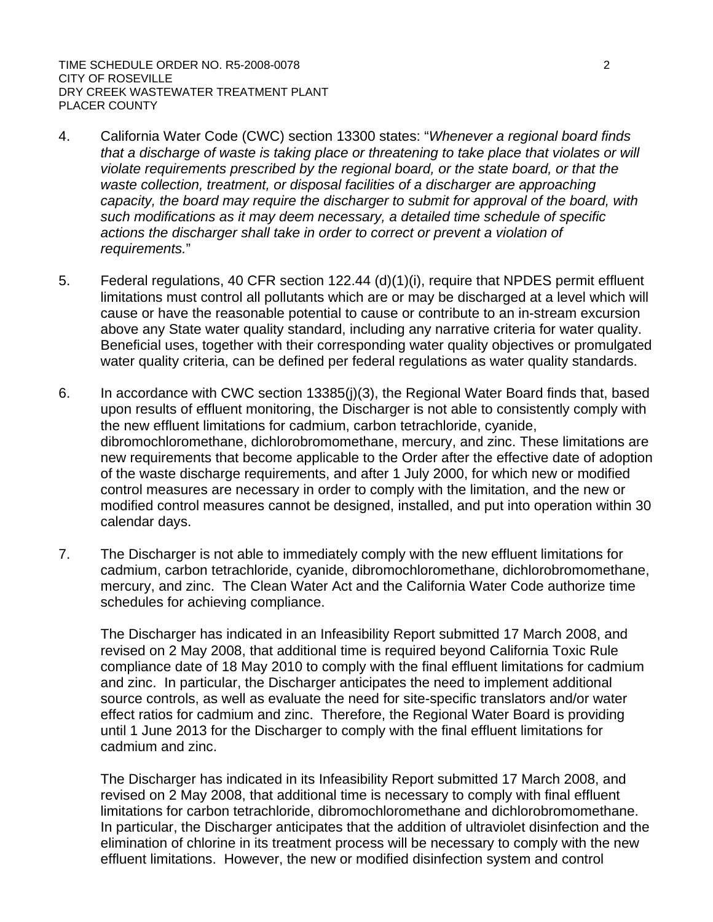TIME SCHEDULE ORDER NO. R5-2008-0078 2 CITY OF ROSEVILLE DRY CREEK WASTEWATER TREATMENT PLANT PLACER COUNTY

- 4. California Water Code (CWC) section 13300 states: "*Whenever a regional board finds that a discharge of waste is taking place or threatening to take place that violates or will violate requirements prescribed by the regional board, or the state board, or that the*  waste collection, treatment, or disposal facilities of a discharger are approaching *capacity, the board may require the discharger to submit for approval of the board, with such modifications as it may deem necessary, a detailed time schedule of specific actions the discharger shall take in order to correct or prevent a violation of requirements.*"
- 5. Federal regulations, 40 CFR section 122.44 (d)(1)(i), require that NPDES permit effluent limitations must control all pollutants which are or may be discharged at a level which will cause or have the reasonable potential to cause or contribute to an in-stream excursion above any State water quality standard, including any narrative criteria for water quality. Beneficial uses, together with their corresponding water quality objectives or promulgated water quality criteria, can be defined per federal regulations as water quality standards.
- 6. In accordance with CWC section 13385(j)(3), the Regional Water Board finds that, based upon results of effluent monitoring, the Discharger is not able to consistently comply with the new effluent limitations for cadmium, carbon tetrachloride, cyanide, dibromochloromethane, dichlorobromomethane, mercury, and zinc. These limitations are new requirements that become applicable to the Order after the effective date of adoption of the waste discharge requirements, and after 1 July 2000, for which new or modified control measures are necessary in order to comply with the limitation, and the new or modified control measures cannot be designed, installed, and put into operation within 30 calendar days.
- 7. The Discharger is not able to immediately comply with the new effluent limitations for cadmium, carbon tetrachloride, cyanide, dibromochloromethane, dichlorobromomethane, mercury, and zinc. The Clean Water Act and the California Water Code authorize time schedules for achieving compliance.

The Discharger has indicated in an Infeasibility Report submitted 17 March 2008, and revised on 2 May 2008, that additional time is required beyond California Toxic Rule compliance date of 18 May 2010 to comply with the final effluent limitations for cadmium and zinc. In particular, the Discharger anticipates the need to implement additional source controls, as well as evaluate the need for site-specific translators and/or water effect ratios for cadmium and zinc. Therefore, the Regional Water Board is providing until 1 June 2013 for the Discharger to comply with the final effluent limitations for cadmium and zinc.

The Discharger has indicated in its Infeasibility Report submitted 17 March 2008, and revised on 2 May 2008, that additional time is necessary to comply with final effluent limitations for carbon tetrachloride, dibromochloromethane and dichlorobromomethane. In particular, the Discharger anticipates that the addition of ultraviolet disinfection and the elimination of chlorine in its treatment process will be necessary to comply with the new effluent limitations. However, the new or modified disinfection system and control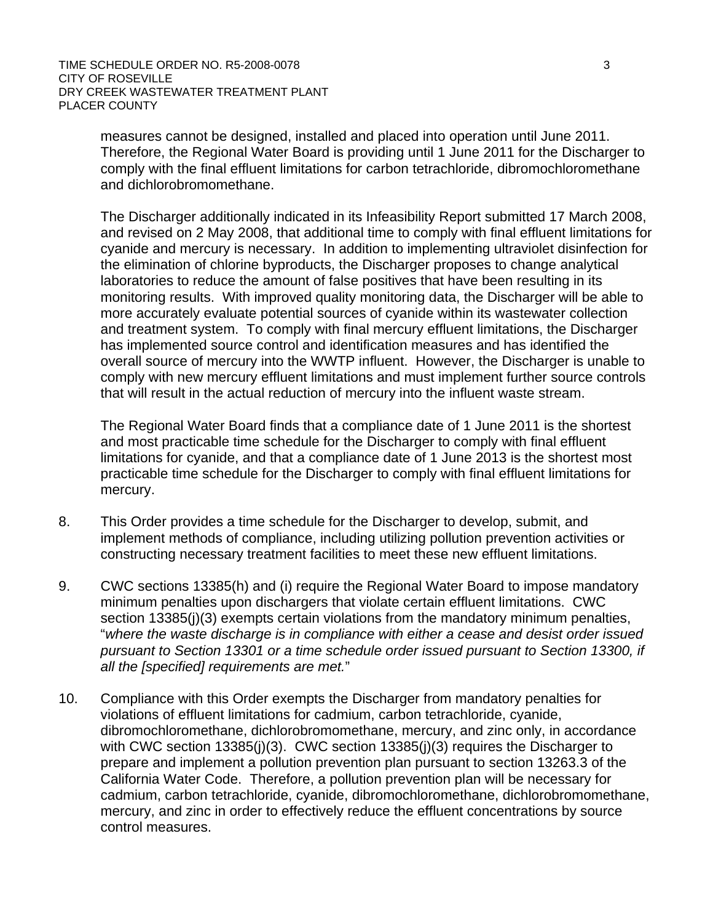measures cannot be designed, installed and placed into operation until June 2011. Therefore, the Regional Water Board is providing until 1 June 2011 for the Discharger to comply with the final effluent limitations for carbon tetrachloride, dibromochloromethane and dichlorobromomethane.

The Discharger additionally indicated in its Infeasibility Report submitted 17 March 2008, and revised on 2 May 2008, that additional time to comply with final effluent limitations for cyanide and mercury is necessary. In addition to implementing ultraviolet disinfection for the elimination of chlorine byproducts, the Discharger proposes to change analytical laboratories to reduce the amount of false positives that have been resulting in its monitoring results. With improved quality monitoring data, the Discharger will be able to more accurately evaluate potential sources of cyanide within its wastewater collection and treatment system. To comply with final mercury effluent limitations, the Discharger has implemented source control and identification measures and has identified the overall source of mercury into the WWTP influent. However, the Discharger is unable to comply with new mercury effluent limitations and must implement further source controls that will result in the actual reduction of mercury into the influent waste stream.

The Regional Water Board finds that a compliance date of 1 June 2011 is the shortest and most practicable time schedule for the Discharger to comply with final effluent limitations for cyanide, and that a compliance date of 1 June 2013 is the shortest most practicable time schedule for the Discharger to comply with final effluent limitations for mercury.

- 8. This Order provides a time schedule for the Discharger to develop, submit, and implement methods of compliance, including utilizing pollution prevention activities or constructing necessary treatment facilities to meet these new effluent limitations.
- 9. CWC sections 13385(h) and (i) require the Regional Water Board to impose mandatory minimum penalties upon dischargers that violate certain effluent limitations. CWC section 13385(j)(3) exempts certain violations from the mandatory minimum penalties, "*where the waste discharge is in compliance with either a cease and desist order issued pursuant to Section 13301 or a time schedule order issued pursuant to Section 13300, if all the [specified] requirements are met.*"
- 10. Compliance with this Order exempts the Discharger from mandatory penalties for violations of effluent limitations for cadmium, carbon tetrachloride, cyanide, dibromochloromethane, dichlorobromomethane, mercury, and zinc only, in accordance with CWC section 13385(j)(3). CWC section 13385(j)(3) requires the Discharger to prepare and implement a pollution prevention plan pursuant to section 13263.3 of the California Water Code. Therefore, a pollution prevention plan will be necessary for cadmium, carbon tetrachloride, cyanide, dibromochloromethane, dichlorobromomethane, mercury, and zinc in order to effectively reduce the effluent concentrations by source control measures.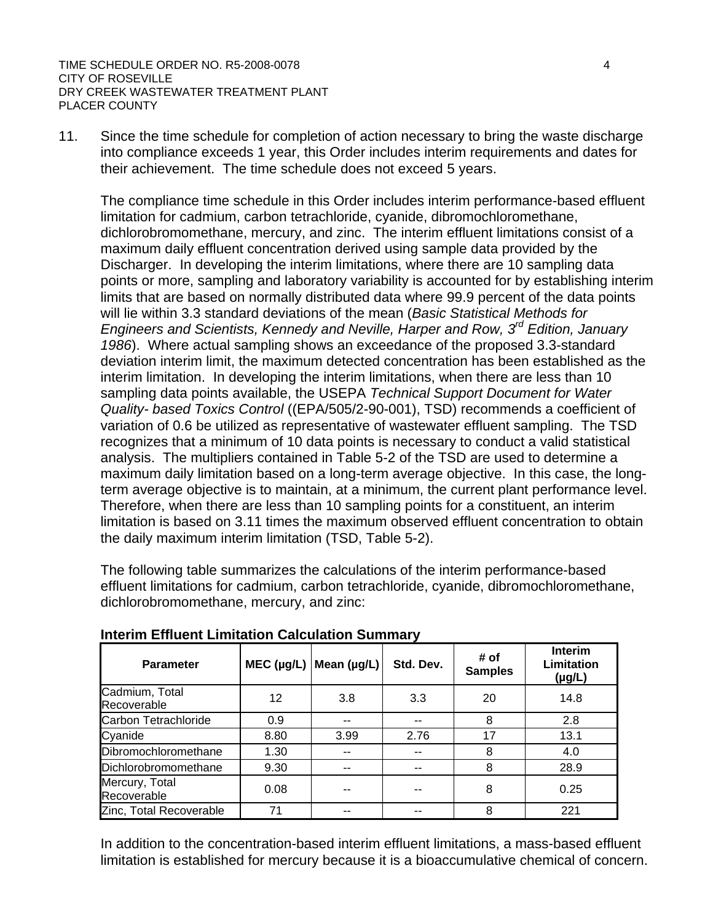11. Since the time schedule for completion of action necessary to bring the waste discharge into compliance exceeds 1 year, this Order includes interim requirements and dates for their achievement. The time schedule does not exceed 5 years.

The compliance time schedule in this Order includes interim performance-based effluent limitation for cadmium, carbon tetrachloride, cyanide, dibromochloromethane, dichlorobromomethane, mercury, and zinc. The interim effluent limitations consist of a maximum daily effluent concentration derived using sample data provided by the Discharger. In developing the interim limitations, where there are 10 sampling data points or more, sampling and laboratory variability is accounted for by establishing interim limits that are based on normally distributed data where 99.9 percent of the data points will lie within 3.3 standard deviations of the mean (*Basic Statistical Methods for Engineers and Scientists, Kennedy and Neville, Harper and Row, 3rd Edition, January 1986*). Where actual sampling shows an exceedance of the proposed 3.3-standard deviation interim limit, the maximum detected concentration has been established as the interim limitation. In developing the interim limitations, when there are less than 10 sampling data points available, the USEPA *Technical Support Document for Water Quality- based Toxics Control* ((EPA/505/2-90-001), TSD) recommends a coefficient of variation of 0.6 be utilized as representative of wastewater effluent sampling. The TSD recognizes that a minimum of 10 data points is necessary to conduct a valid statistical analysis. The multipliers contained in Table 5-2 of the TSD are used to determine a maximum daily limitation based on a long-term average objective. In this case, the longterm average objective is to maintain, at a minimum, the current plant performance level. Therefore, when there are less than 10 sampling points for a constituent, an interim limitation is based on 3.11 times the maximum observed effluent concentration to obtain the daily maximum interim limitation (TSD, Table 5-2).

The following table summarizes the calculations of the interim performance-based effluent limitations for cadmium, carbon tetrachloride, cyanide, dibromochloromethane, dichlorobromomethane, mercury, and zinc:

| <b>Parameter</b>              | $MEC$ (µg/L) | Mean $(\mu g/L)$ | Std. Dev. | # of<br><b>Samples</b> | <b>Interim</b><br>Limitation<br>$(\mu g/L)$ |
|-------------------------------|--------------|------------------|-----------|------------------------|---------------------------------------------|
| Cadmium, Total<br>Recoverable | 12           | 3.8              | 3.3       | 20                     | 14.8                                        |
| Carbon Tetrachloride          | 0.9          |                  |           | 8                      | 2.8                                         |
| Cyanide                       | 8.80         | 3.99             | 2.76      | 17                     | 13.1                                        |
| Dibromochloromethane          | 1.30         |                  | --        | 8                      | 4.0                                         |
| Dichlorobromomethane          | 9.30         |                  |           | 8                      | 28.9                                        |
| Mercury, Total<br>Recoverable | 0.08         |                  |           | 8                      | 0.25                                        |
| Zinc, Total Recoverable       | 71           |                  |           | 8                      | 221                                         |

**Interim Effluent Limitation Calculation Summary** 

In addition to the concentration-based interim effluent limitations, a mass-based effluent limitation is established for mercury because it is a bioaccumulative chemical of concern.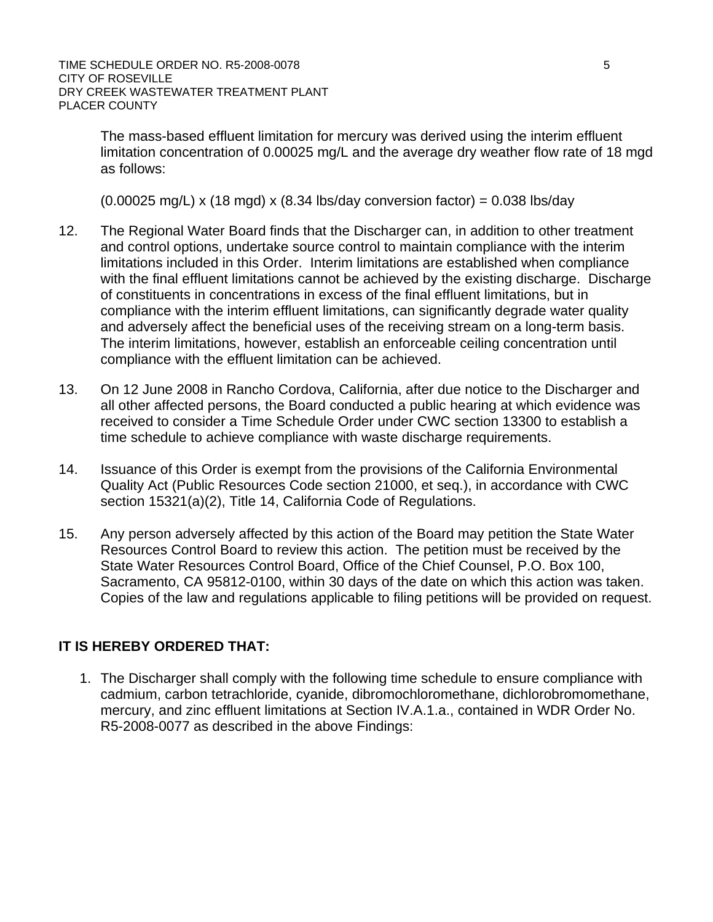The mass-based effluent limitation for mercury was derived using the interim effluent limitation concentration of 0.00025 mg/L and the average dry weather flow rate of 18 mgd as follows:

 $(0.00025 \text{ ma/L}) \times (18 \text{ mad}) \times (8.34 \text{ lbs/day}$  conversion factor) = 0.038 lbs/day

- 12. The Regional Water Board finds that the Discharger can, in addition to other treatment and control options, undertake source control to maintain compliance with the interim limitations included in this Order. Interim limitations are established when compliance with the final effluent limitations cannot be achieved by the existing discharge. Discharge of constituents in concentrations in excess of the final effluent limitations, but in compliance with the interim effluent limitations, can significantly degrade water quality and adversely affect the beneficial uses of the receiving stream on a long-term basis. The interim limitations, however, establish an enforceable ceiling concentration until compliance with the effluent limitation can be achieved.
- 13. On 12 June 2008 in Rancho Cordova, California, after due notice to the Discharger and all other affected persons, the Board conducted a public hearing at which evidence was received to consider a Time Schedule Order under CWC section 13300 to establish a time schedule to achieve compliance with waste discharge requirements.
- 14. Issuance of this Order is exempt from the provisions of the California Environmental Quality Act (Public Resources Code section 21000, et seq.), in accordance with CWC section 15321(a)(2), Title 14, California Code of Regulations.
- 15. Any person adversely affected by this action of the Board may petition the State Water Resources Control Board to review this action. The petition must be received by the State Water Resources Control Board, Office of the Chief Counsel, P.O. Box 100, Sacramento, CA 95812-0100, within 30 days of the date on which this action was taken. Copies of the law and regulations applicable to filing petitions will be provided on request.

# **IT IS HEREBY ORDERED THAT:**

1. The Discharger shall comply with the following time schedule to ensure compliance with cadmium, carbon tetrachloride, cyanide, dibromochloromethane, dichlorobromomethane, mercury, and zinc effluent limitations at Section IV.A.1.a., contained in WDR Order No. R5-2008-0077 as described in the above Findings: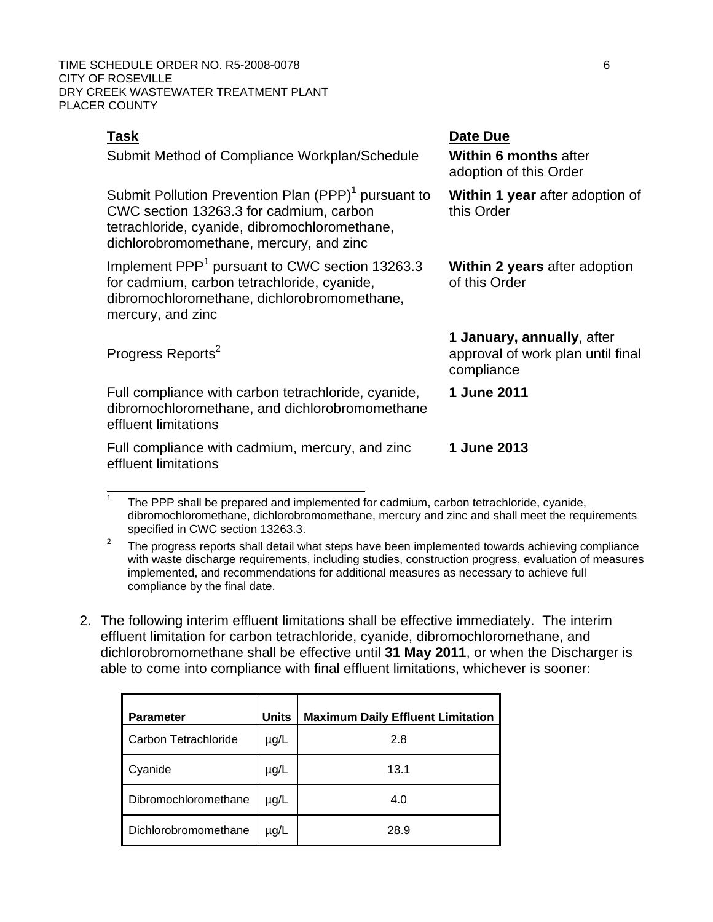TIME SCHEDULE ORDER NO. R5-2008-0078 6 CITY OF ROSEVILLE DRY CREEK WASTEWATER TREATMENT PLANT PLACER COUNTY

Progress Reports<sup>2</sup>

 $\overline{a}$ 

Submit Method of Compliance Workplan/Schedule **Within 6 months** after

Submit Pollution Prevention Plan  $(PPP)^1$  pursuant to CWC section 13263.3 for cadmium, carbon tetrachloride, cyanide, dibromochloromethane, dichlorobromomethane, mercury, and zinc

Implement PPP<sup>1</sup> pursuant to CWC section 13263.3 for cadmium, carbon tetrachloride, cyanide, dibromochloromethane, dichlorobromomethane, mercury, and zinc

**Task Date Due** 

**1 June 2011** 

**1 June 2013** 

adoption of this Order

**Within 1 year** after adoption of this Order

**Within 2 years** after adoption of this Order

**1 January, annually**, after approval of work plan until final compliance

Full compliance with carbon tetrachloride, cyanide, dibromochloromethane, and dichlorobromomethane effluent limitations

Full compliance with cadmium, mercury, and zinc effluent limitations

2. The following interim effluent limitations shall be effective immediately. The interim effluent limitation for carbon tetrachloride, cyanide, dibromochloromethane, and dichlorobromomethane shall be effective until **31 May 2011**, or when the Discharger is able to come into compliance with final effluent limitations, whichever is sooner:

| <b>Parameter</b>     | <b>Units</b> | <b>Maximum Daily Effluent Limitation</b> |
|----------------------|--------------|------------------------------------------|
| Carbon Tetrachloride | $\mu$ g/L    | 2.8                                      |
| Cyanide              | $\mu$ g/L    | 13.1                                     |
| Dibromochloromethane | $\mu$ g/L    | 4.0                                      |
| Dichlorobromomethane | $\mu$ g/L    | 28.9                                     |

<sup>1</sup> The PPP shall be prepared and implemented for cadmium, carbon tetrachloride, cyanide, dibromochloromethane, dichlorobromomethane, mercury and zinc and shall meet the requirements specified in CWC section 13263.3.

<sup>2</sup> The progress reports shall detail what steps have been implemented towards achieving compliance with waste discharge requirements, including studies, construction progress, evaluation of measures implemented, and recommendations for additional measures as necessary to achieve full compliance by the final date.